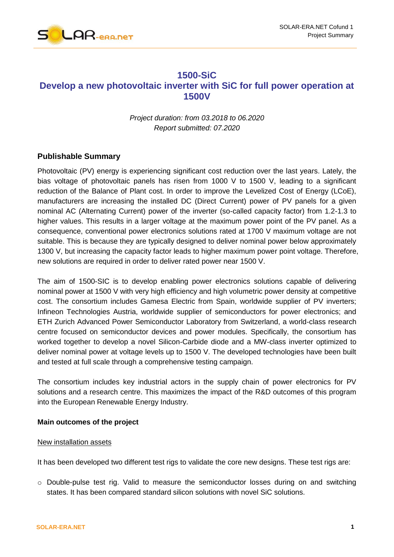



# **1500-SiC Develop a new photovoltaic inverter with SiC for full power operation at 1500V**

*Project duration: from 03.2018 to 06.2020 Report submitted: 07.2020*

# **Publishable Summary**

Photovoltaic (PV) energy is experiencing significant cost reduction over the last years. Lately, the bias voltage of photovoltaic panels has risen from 1000 V to 1500 V, leading to a significant reduction of the Balance of Plant cost. In order to improve the Levelized Cost of Energy (LCoE), manufacturers are increasing the installed DC (Direct Current) power of PV panels for a given nominal AC (Alternating Current) power of the inverter (so-called capacity factor) from 1.2-1.3 to higher values. This results in a larger voltage at the maximum power point of the PV panel. As a consequence, conventional power electronics solutions rated at 1700 V maximum voltage are not suitable. This is because they are typically designed to deliver nominal power below approximately 1300 V, but increasing the capacity factor leads to higher maximum power point voltage. Therefore, new solutions are required in order to deliver rated power near 1500 V.

The aim of 1500-SIC is to develop enabling power electronics solutions capable of delivering nominal power at 1500 V with very high efficiency and high volumetric power density at competitive cost. The consortium includes Gamesa Electric from Spain, worldwide supplier of PV inverters; Infineon Technologies Austria, worldwide supplier of semiconductors for power electronics; and ETH Zurich Advanced Power Semiconductor Laboratory from Switzerland, a world-class research centre focused on semiconductor devices and power modules. Specifically, the consortium has worked together to develop a novel Silicon-Carbide diode and a MW-class inverter optimized to deliver nominal power at voltage levels up to 1500 V. The developed technologies have been built and tested at full scale through a comprehensive testing campaign.

The consortium includes key industrial actors in the supply chain of power electronics for PV solutions and a research centre. This maximizes the impact of the R&D outcomes of this program into the European Renewable Energy Industry.

#### **Main outcomes of the project**

#### New installation assets

It has been developed two different test rigs to validate the core new designs. These test rigs are:

o Double-pulse test rig. Valid to measure the semiconductor losses during on and switching states. It has been compared standard silicon solutions with novel SiC solutions.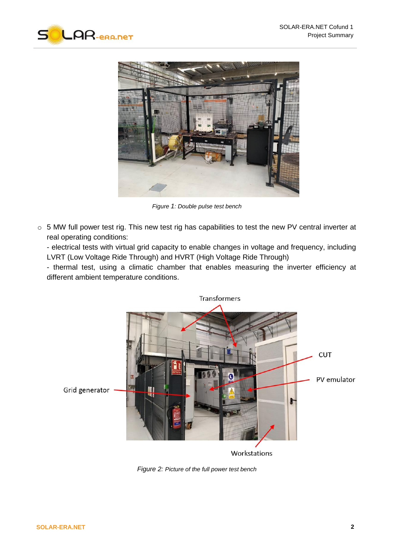



*Figure 1: Double pulse test bench*

o 5 MW full power test rig. This new test rig has capabilities to test the new PV central inverter at real operating conditions:

- electrical tests with virtual grid capacity to enable changes in voltage and frequency, including LVRT (Low Voltage Ride Through) and HVRT (High Voltage Ride Through)

- thermal test, using a climatic chamber that enables measuring the inverter efficiency at different ambient temperature conditions.



*Figure 2: Picture of the full power test bench*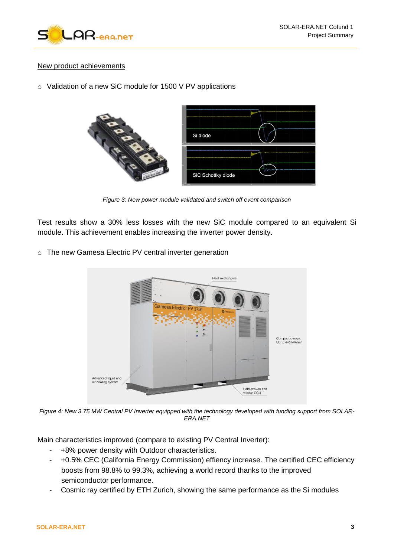

# New product achievements

o Validation of a new SiC module for 1500 V PV applications



*Figure 3: New power module validated and switch off event comparison*

Test results show a 30% less losses with the new SiC module compared to an equivalent Si module. This achievement enables increasing the inverter power density.

o The new Gamesa Electric PV central inverter generation



*Figure 4: New 3.75 MW Central PV Inverter equipped with the technology developed with funding support from SOLAR-ERA.NET*

Main characteristics improved (compare to existing PV Central Inverter):

- +8% power density with Outdoor characteristics.
- +0.5% CEC (California Energy Commission) effiency increase. The certified CEC efficiency boosts from 98.8% to 99.3%, achieving a world record thanks to the improved semiconductor performance.
- Cosmic ray certified by ETH Zurich, showing the same performance as the Si modules